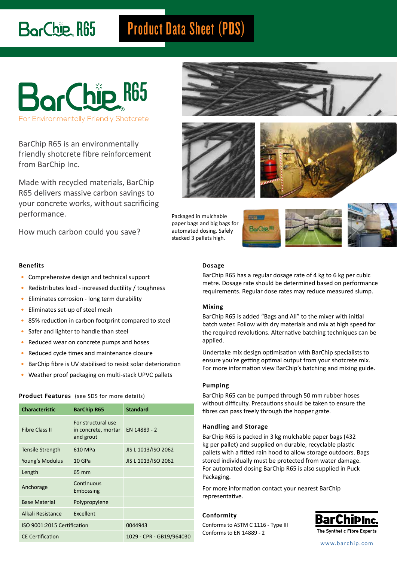# BorChip R65

## Product Data Sheet (PDS)



BarChip R65 is an environmentally friendly shotcrete fibre reinforcement from BarChip Inc.

Made with recycled materials, BarChip R65 delivers massive carbon savings to your concrete works, without sacrificing performance.

How much carbon could you save?





Packaged in mulchable paper bags and big bags for automated dosing. Safely stacked 3 pallets high.







#### **Dosage**

BarChip R65 has a regular dosage rate of 4 kg to 6 kg per cubic metre. Dosage rate should be determined based on performance requirements. Regular dose rates may reduce measured slump.

#### **Mixing**

BarChip R65 is added "Bags and All" to the mixer with initial batch water. Follow with dry materials and mix at high speed for the required revolutions. Alternative batching techniques can be applied.

Undertake mix design optimisation with BarChip specialists to ensure you're getting optimal output from your shotcrete mix. For more information view BarChip's batching and mixing guide.

#### **Pumping**

BarChip R65 can be pumped through 50 mm rubber hoses without difficulty. Precautions should be taken to ensure the fibres can pass freely through the hopper grate.

#### **Handling and Storage**

BarChip R65 is packed in 3 kg mulchable paper bags (432 kg per pallet) and supplied on durable, recyclable plastic pallets with a fitted rain hood to allow storage outdoors. Bags stored individually must be protected from water damage. For automated dosing BarChip R65 is also supplied in Puck Packaging.

For more information contact your nearest BarChip representative.

#### **Conformity**

Conforms to ASTM C 1116 - Type III Conforms to EN 14889 - 2



[www.barchip.com](http://www.elastoplastic.com)

#### **Benefits**

- Comprehensive design and technical support
- Redistributes load increased ductility / toughness
- Eliminates corrosion long term durability
- Eliminates set-up of steel mesh
- 85% reduction in carbon footprint compared to steel
- Safer and lighter to handle than steel
- Reduced wear on concrete pumps and hoses
- Reduced cycle times and maintenance closure
- BarChip fibre is UV stabilised to resist solar deterioration
- Weather proof packaging on multi-stack UPVC pallets

#### **Product Features** (see SDS for more details)

| <b>Characteristic</b>       | <b>BarChip R65</b>                                     | <b>Standard</b>     |  |
|-----------------------------|--------------------------------------------------------|---------------------|--|
| <b>Fibre Class II</b>       | For structural use<br>in concrete, mortar<br>and grout | EN 14889 - 2        |  |
| Tensile Strength            | 610 MPa                                                | JIS L 1013/ISO 2062 |  |
| Young's Modulus             | 10 GPa                                                 | JIS L 1013/ISO 2062 |  |
| Length                      | 65 mm                                                  |                     |  |
| Anchorage                   | Continuous<br>Embossing                                |                     |  |
| <b>Base Material</b>        | Polypropylene                                          |                     |  |
| Alkali Resistance           | Excellent                                              |                     |  |
| ISO 9001:2015 Certification |                                                        | 0044943             |  |
| <b>CE Certification</b>     | 1029 - CPR - GB19/964030                               |                     |  |